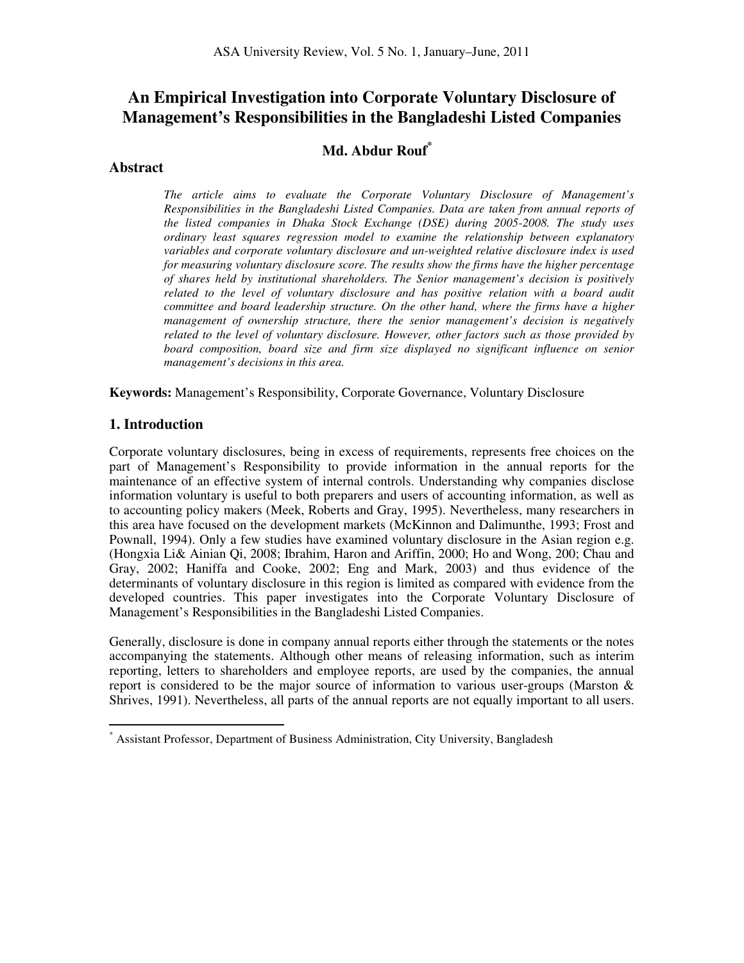# **An Empirical Investigation into Corporate Voluntary Disclosure of Management's Responsibilities in the Bangladeshi Listed Companies**

## **Md. Abdur Rouf\***

#### **Abstract**

*The article aims to evaluate the Corporate Voluntary Disclosure of Management's Responsibilities in the Bangladeshi Listed Companies. Data are taken from annual reports of the listed companies in Dhaka Stock Exchange (DSE) during 2005-2008. The study uses ordinary least squares regression model to examine the relationship between explanatory variables and corporate voluntary disclosure and un-weighted relative disclosure index is used for measuring voluntary disclosure score. The results show the firms have the higher percentage of shares held by institutional shareholders. The Senior management's decision is positively related to the level of voluntary disclosure and has positive relation with a board audit committee and board leadership structure. On the other hand, where the firms have a higher management of ownership structure, there the senior management's decision is negatively related to the level of voluntary disclosure. However, other factors such as those provided by board composition, board size and firm size displayed no significant influence on senior management's decisions in this area.* 

**Keywords:** Management's Responsibility, Corporate Governance, Voluntary Disclosure

#### **1. Introduction**

 $\overline{a}$ 

Corporate voluntary disclosures, being in excess of requirements, represents free choices on the part of Management's Responsibility to provide information in the annual reports for the maintenance of an effective system of internal controls. Understanding why companies disclose information voluntary is useful to both preparers and users of accounting information, as well as to accounting policy makers (Meek, Roberts and Gray, 1995). Nevertheless, many researchers in this area have focused on the development markets (McKinnon and Dalimunthe, 1993; Frost and Pownall, 1994). Only a few studies have examined voluntary disclosure in the Asian region e.g. (Hongxia Li& Ainian Qi, 2008; Ibrahim, Haron and Ariffin, 2000; Ho and Wong, 200; Chau and Gray, 2002; Haniffa and Cooke, 2002; Eng and Mark, 2003) and thus evidence of the determinants of voluntary disclosure in this region is limited as compared with evidence from the developed countries. This paper investigates into the Corporate Voluntary Disclosure of Management's Responsibilities in the Bangladeshi Listed Companies.

Generally, disclosure is done in company annual reports either through the statements or the notes accompanying the statements. Although other means of releasing information, such as interim reporting, letters to shareholders and employee reports, are used by the companies, the annual report is considered to be the major source of information to various user-groups (Marston & Shrives, 1991). Nevertheless, all parts of the annual reports are not equally important to all users.

<sup>\*</sup> Assistant Professor, Department of Business Administration, City University, Bangladesh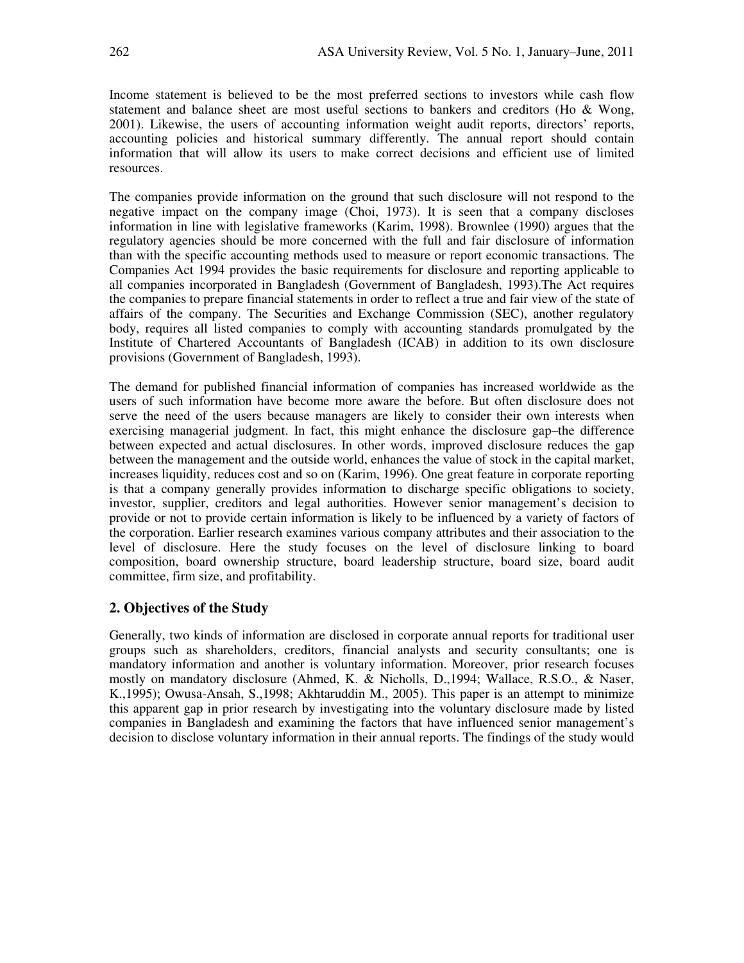Income statement is believed to be the most preferred sections to investors while cash flow statement and balance sheet are most useful sections to bankers and creditors (Ho & Wong, 2001). Likewise, the users of accounting information weight audit reports, directors' reports, accounting policies and historical summary differently. The annual report should contain information that will allow its users to make correct decisions and efficient use of limited resources.

The companies provide information on the ground that such disclosure will not respond to the negative impact on the company image (Choi, 1973). It is seen that a company discloses information in line with legislative frameworks (Karim, 1998). Brownlee (1990) argues that the regulatory agencies should be more concerned with the full and fair disclosure of information than with the specific accounting methods used to measure or report economic transactions. The Companies Act 1994 provides the basic requirements for disclosure and reporting applicable to all companies incorporated in Bangladesh (Government of Bangladesh, 1993).The Act requires the companies to prepare financial statements in order to reflect a true and fair view of the state of affairs of the company. The Securities and Exchange Commission (SEC), another regulatory body, requires all listed companies to comply with accounting standards promulgated by the Institute of Chartered Accountants of Bangladesh (ICAB) in addition to its own disclosure provisions (Government of Bangladesh, 1993).

The demand for published financial information of companies has increased worldwide as the users of such information have become more aware the before. But often disclosure does not serve the need of the users because managers are likely to consider their own interests when exercising managerial judgment. In fact, this might enhance the disclosure gap–the difference between expected and actual disclosures. In other words, improved disclosure reduces the gap between the management and the outside world, enhances the value of stock in the capital market, increases liquidity, reduces cost and so on (Karim, 1996). One great feature in corporate reporting is that a company generally provides information to discharge specific obligations to society, investor, supplier, creditors and legal authorities. However senior management's decision to provide or not to provide certain information is likely to be influenced by a variety of factors of the corporation. Earlier research examines various company attributes and their association to the level of disclosure. Here the study focuses on the level of disclosure linking to board composition, board ownership structure, board leadership structure, board size, board audit committee, firm size, and profitability.

#### **2. Objectives of the Study**

Generally, two kinds of information are disclosed in corporate annual reports for traditional user groups such as shareholders, creditors, financial analysts and security consultants; one is mandatory information and another is voluntary information. Moreover, prior research focuses mostly on mandatory disclosure (Ahmed, K. & Nicholls, D.,1994; Wallace, R.S.O., & Naser, K.,1995); Owusa-Ansah, S.,1998; Akhtaruddin M., 2005). This paper is an attempt to minimize this apparent gap in prior research by investigating into the voluntary disclosure made by listed companies in Bangladesh and examining the factors that have influenced senior management's decision to disclose voluntary information in their annual reports. The findings of the study would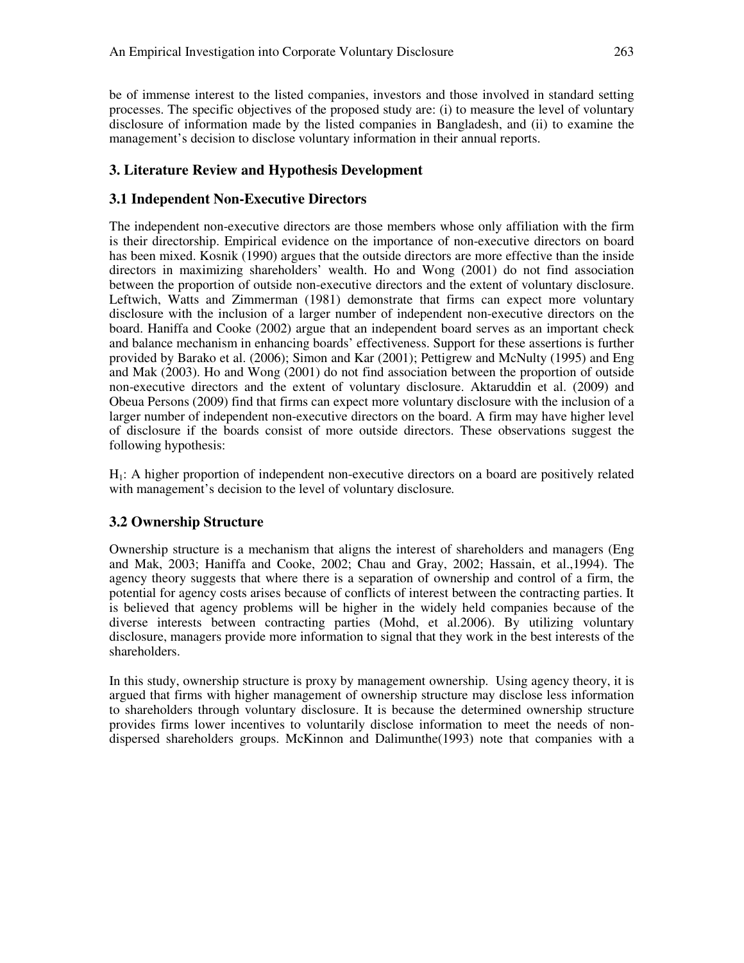be of immense interest to the listed companies, investors and those involved in standard setting processes. The specific objectives of the proposed study are: (i) to measure the level of voluntary disclosure of information made by the listed companies in Bangladesh, and (ii) to examine the management's decision to disclose voluntary information in their annual reports.

#### **3. Literature Review and Hypothesis Development**

#### **3.1 Independent Non-Executive Directors**

The independent non-executive directors are those members whose only affiliation with the firm is their directorship. Empirical evidence on the importance of non-executive directors on board has been mixed. Kosnik (1990) argues that the outside directors are more effective than the inside directors in maximizing shareholders' wealth. Ho and Wong (2001) do not find association between the proportion of outside non-executive directors and the extent of voluntary disclosure. Leftwich, Watts and Zimmerman (1981) demonstrate that firms can expect more voluntary disclosure with the inclusion of a larger number of independent non-executive directors on the board. Haniffa and Cooke (2002) argue that an independent board serves as an important check and balance mechanism in enhancing boards' effectiveness. Support for these assertions is further provided by Barako et al. (2006); Simon and Kar (2001); Pettigrew and McNulty (1995) and Eng and Mak (2003). Ho and Wong (2001) do not find association between the proportion of outside non-executive directors and the extent of voluntary disclosure. Aktaruddin et al. (2009) and Obeua Persons (2009) find that firms can expect more voluntary disclosure with the inclusion of a larger number of independent non-executive directors on the board. A firm may have higher level of disclosure if the boards consist of more outside directors. These observations suggest the following hypothesis:

H1: A higher proportion of independent non-executive directors on a board are positively related with management's decision to the level of voluntary disclosure*.*

#### **3.2 Ownership Structure**

Ownership structure is a mechanism that aligns the interest of shareholders and managers (Eng and Mak, 2003; Haniffa and Cooke, 2002; Chau and Gray, 2002; Hassain, et al.,1994). The agency theory suggests that where there is a separation of ownership and control of a firm, the potential for agency costs arises because of conflicts of interest between the contracting parties. It is believed that agency problems will be higher in the widely held companies because of the diverse interests between contracting parties (Mohd, et al.2006). By utilizing voluntary disclosure, managers provide more information to signal that they work in the best interests of the shareholders.

In this study, ownership structure is proxy by management ownership. Using agency theory, it is argued that firms with higher management of ownership structure may disclose less information to shareholders through voluntary disclosure. It is because the determined ownership structure provides firms lower incentives to voluntarily disclose information to meet the needs of nondispersed shareholders groups. McKinnon and Dalimunthe(1993) note that companies with a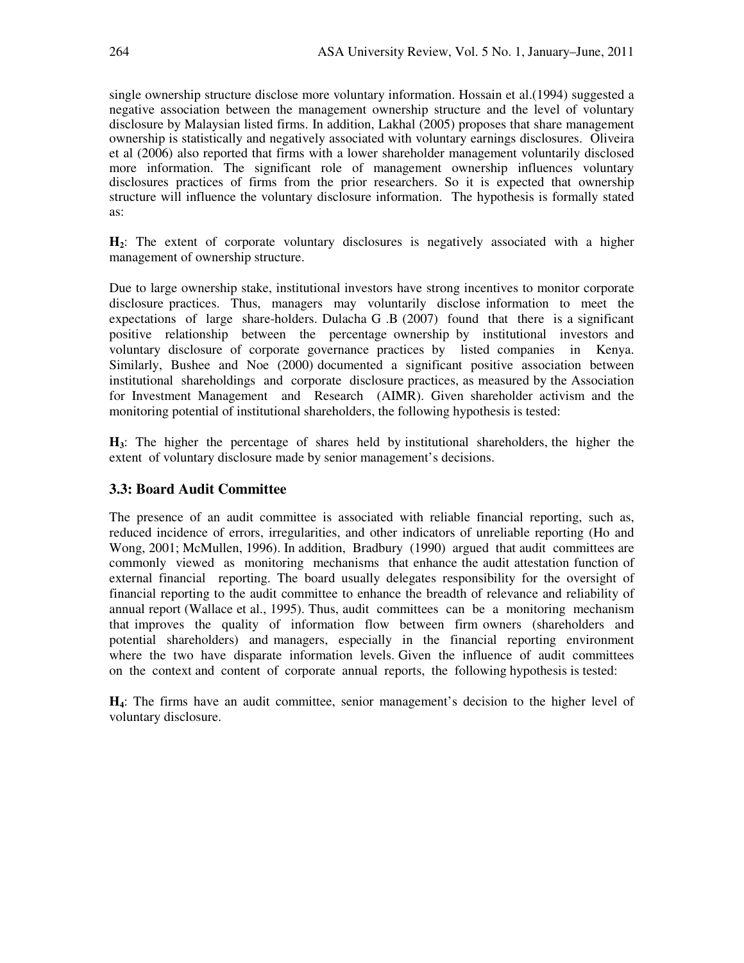single ownership structure disclose more voluntary information. Hossain et al.(1994) suggested a negative association between the management ownership structure and the level of voluntary disclosure by Malaysian listed firms. In addition, Lakhal (2005) proposes that share management ownership is statistically and negatively associated with voluntary earnings disclosures. Oliveira et al (2006) also reported that firms with a lower shareholder management voluntarily disclosed more information. The significant role of management ownership influences voluntary disclosures practices of firms from the prior researchers. So it is expected that ownership structure will influence the voluntary disclosure information. The hypothesis is formally stated as:

**H2**: The extent of corporate voluntary disclosures is negatively associated with a higher management of ownership structure.

Due to large ownership stake, institutional investors have strong incentives to monitor corporate disclosure practices. Thus, managers may voluntarily disclose information to meet the expectations of large share-holders. Dulacha G .B (2007) found that there is a significant positive relationship between the percentage ownership by institutional investors and voluntary disclosure of corporate governance practices by listed companies in Kenya. Similarly, Bushee and Noe (2000) documented a significant positive association between institutional shareholdings and corporate disclosure practices, as measured by the Association for Investment Management and Research (AIMR). Given shareholder activism and the monitoring potential of institutional shareholders, the following hypothesis is tested:

**H3**: The higher the percentage of shares held by institutional shareholders, the higher the extent of voluntary disclosure made by senior management's decisions.

#### **3.3: Board Audit Committee**

The presence of an audit committee is associated with reliable financial reporting, such as, reduced incidence of errors, irregularities, and other indicators of unreliable reporting (Ho and Wong, 2001; McMullen, 1996). In addition, Bradbury (1990) argued that audit committees are commonly viewed as monitoring mechanisms that enhance the audit attestation function of external financial reporting. The board usually delegates responsibility for the oversight of financial reporting to the audit committee to enhance the breadth of relevance and reliability of annual report (Wallace et al., 1995). Thus, audit committees can be a monitoring mechanism that improves the quality of information flow between firm owners (shareholders and potential shareholders) and managers, especially in the financial reporting environment where the two have disparate information levels. Given the influence of audit committees on the context and content of corporate annual reports, the following hypothesis is tested:

**H4**: The firms have an audit committee, senior management's decision to the higher level of voluntary disclosure.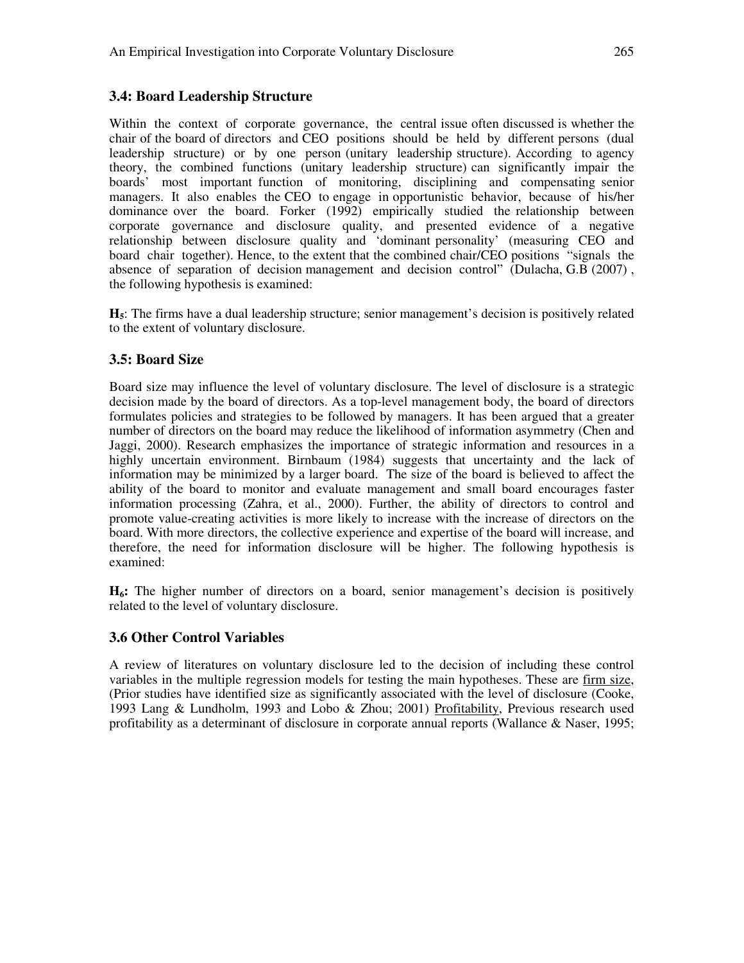#### **3.4: Board Leadership Structure**

Within the context of corporate governance, the central issue often discussed is whether the chair of the board of directors and CEO positions should be held by different persons (dual leadership structure) or by one person (unitary leadership structure). According to agency theory, the combined functions (unitary leadership structure) can significantly impair the boards' most important function of monitoring, disciplining and compensating senior managers. It also enables the CEO to engage in opportunistic behavior, because of his/her dominance over the board. Forker (1992) empirically studied the relationship between corporate governance and disclosure quality, and presented evidence of a negative relationship between disclosure quality and 'dominant personality' (measuring CEO and board chair together). Hence, to the extent that the combined chair/CEO positions "signals the absence of separation of decision management and decision control" (Dulacha, G.B (2007) , the following hypothesis is examined:

**H5**: The firms have a dual leadership structure; senior management's decision is positively related to the extent of voluntary disclosure.

#### **3.5: Board Size**

Board size may influence the level of voluntary disclosure. The level of disclosure is a strategic decision made by the board of directors. As a top-level management body, the board of directors formulates policies and strategies to be followed by managers. It has been argued that a greater number of directors on the board may reduce the likelihood of information asymmetry (Chen and Jaggi, 2000). Research emphasizes the importance of strategic information and resources in a highly uncertain environment. Birnbaum (1984) suggests that uncertainty and the lack of information may be minimized by a larger board. The size of the board is believed to affect the ability of the board to monitor and evaluate management and small board encourages faster information processing (Zahra, et al., 2000). Further, the ability of directors to control and promote value-creating activities is more likely to increase with the increase of directors on the board. With more directors, the collective experience and expertise of the board will increase, and therefore, the need for information disclosure will be higher. The following hypothesis is examined:

**H6:** The higher number of directors on a board, senior management's decision is positively related to the level of voluntary disclosure.

#### **3.6 Other Control Variables**

A review of literatures on voluntary disclosure led to the decision of including these control variables in the multiple regression models for testing the main hypotheses. These are firm size, (Prior studies have identified size as significantly associated with the level of disclosure (Cooke, 1993 Lang & Lundholm, 1993 and Lobo & Zhou; 2001) Profitability, Previous research used profitability as a determinant of disclosure in corporate annual reports (Wallance & Naser, 1995;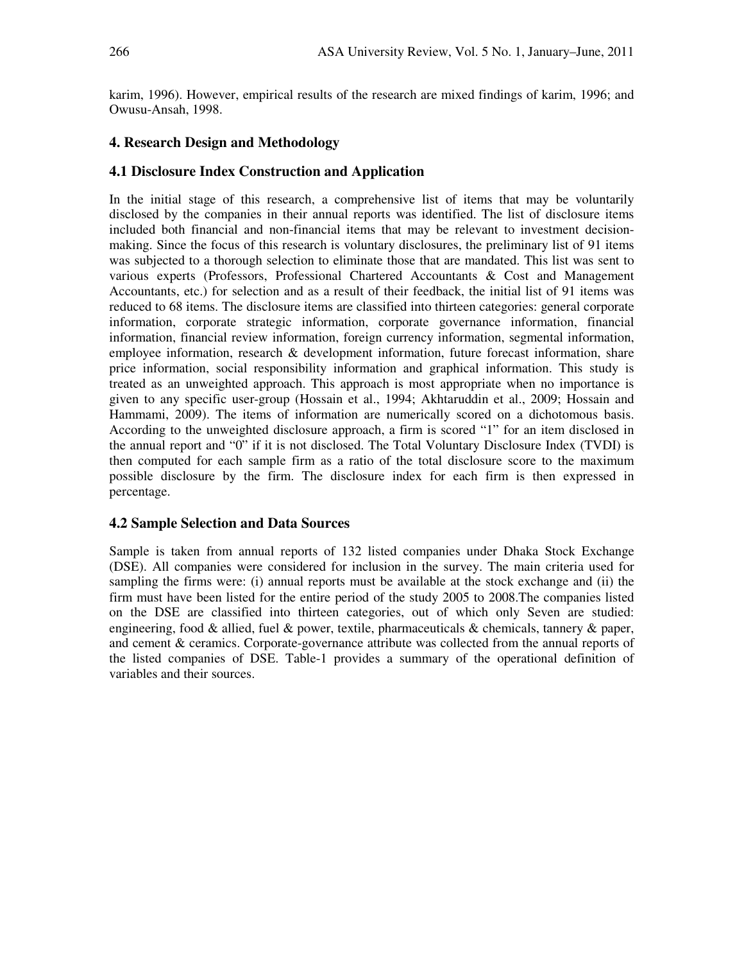karim, 1996). However, empirical results of the research are mixed findings of karim, 1996; and Owusu-Ansah, 1998.

## **4. Research Design and Methodology**

#### **4.1 Disclosure Index Construction and Application**

In the initial stage of this research, a comprehensive list of items that may be voluntarily disclosed by the companies in their annual reports was identified. The list of disclosure items included both financial and non-financial items that may be relevant to investment decisionmaking. Since the focus of this research is voluntary disclosures, the preliminary list of 91 items was subjected to a thorough selection to eliminate those that are mandated. This list was sent to various experts (Professors, Professional Chartered Accountants & Cost and Management Accountants, etc.) for selection and as a result of their feedback, the initial list of 91 items was reduced to 68 items. The disclosure items are classified into thirteen categories: general corporate information, corporate strategic information, corporate governance information, financial information, financial review information, foreign currency information, segmental information, employee information, research & development information, future forecast information, share price information, social responsibility information and graphical information. This study is treated as an unweighted approach. This approach is most appropriate when no importance is given to any specific user-group (Hossain et al., 1994; Akhtaruddin et al., 2009; Hossain and Hammami, 2009). The items of information are numerically scored on a dichotomous basis. According to the unweighted disclosure approach, a firm is scored "1" for an item disclosed in the annual report and "0" if it is not disclosed. The Total Voluntary Disclosure Index (TVDI) is then computed for each sample firm as a ratio of the total disclosure score to the maximum possible disclosure by the firm. The disclosure index for each firm is then expressed in percentage.

#### **4.2 Sample Selection and Data Sources**

Sample is taken from annual reports of 132 listed companies under Dhaka Stock Exchange (DSE). All companies were considered for inclusion in the survey. The main criteria used for sampling the firms were: (i) annual reports must be available at the stock exchange and (ii) the firm must have been listed for the entire period of the study 2005 to 2008.The companies listed on the DSE are classified into thirteen categories, out of which only Seven are studied: engineering, food  $\&$  allied, fuel  $\&$  power, textile, pharmaceuticals  $\&$  chemicals, tannery  $\&$  paper, and cement & ceramics. Corporate-governance attribute was collected from the annual reports of the listed companies of DSE. Table-1 provides a summary of the operational definition of variables and their sources.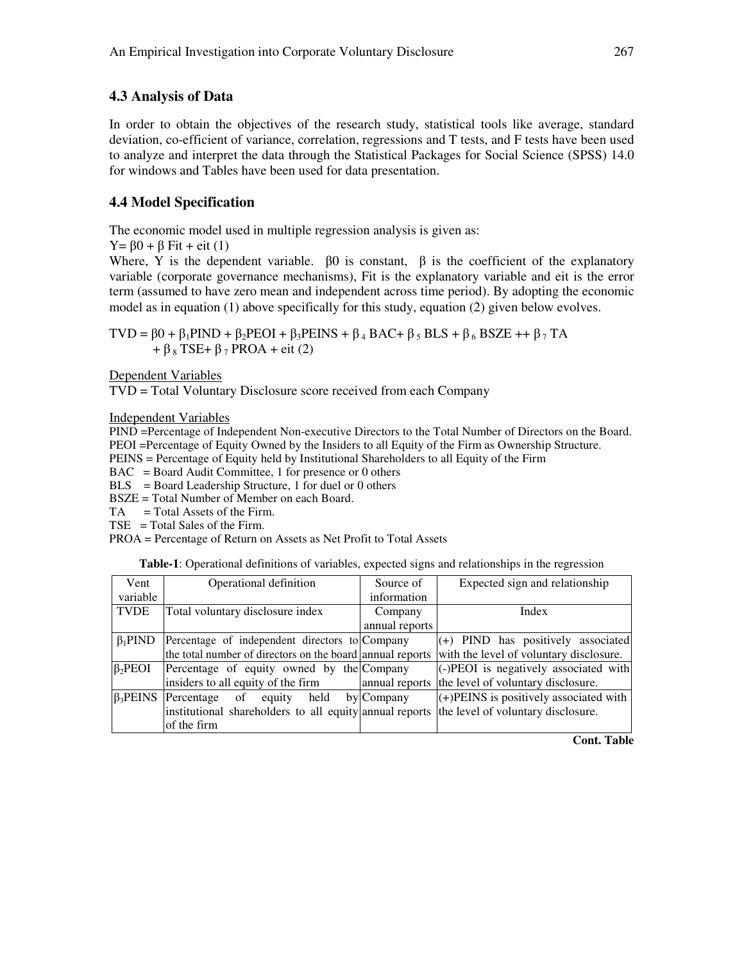## **4.3 Analysis of Data**

In order to obtain the objectives of the research study, statistical tools like average, standard deviation, co-efficient of variance, correlation, regressions and T tests, and F tests have been used to analyze and interpret the data through the Statistical Packages for Social Science (SPSS) 14.0 for windows and Tables have been used for data presentation.

## **4.4 Model Specification**

The economic model used in multiple regression analysis is given as:

 $Y = \beta 0 + \beta$  Fit + eit (1)

Where, Y is the dependent variable.  $\beta$ 0 is constant,  $\beta$  is the coefficient of the explanatory variable (corporate governance mechanisms), Fit is the explanatory variable and eit is the error term (assumed to have zero mean and independent across time period). By adopting the economic model as in equation (1) above specifically for this study, equation (2) given below evolves.

TVD =  $\beta$ 0 +  $\beta$ <sub>1</sub>PIND +  $\beta$ <sub>2</sub>PEOI +  $\beta$ <sub>3</sub>PEINS +  $\beta$ <sub>4</sub> BAC+  $\beta$ <sub>5</sub> BLS +  $\beta$ <sub>6</sub> BSZE ++  $\beta$ <sub>7</sub> TA  $+ \beta_8$  TSE+  $\beta_7$  PROA + eit (2)

Dependent Variables

TVD = Total Voluntary Disclosure score received from each Company

Independent Variables

PIND =Percentage of Independent Non-executive Directors to the Total Number of Directors on the Board. PEOI =Percentage of Equity Owned by the Insiders to all Equity of the Firm as Ownership Structure.

PEINS = Percentage of Equity held by Institutional Shareholders to all Equity of the Firm

 $BAC = Board$  Audit Committee, 1 for presence or 0 others

 $BLS = Board$  Leadership Structure, 1 for duel or 0 others

BSZE = Total Number of Member on each Board.

- $TA = Total Assets of the Firm.$
- $TSE$  = Total Sales of the Firm.

PROA = Percentage of Return on Assets as Net Profit to Total Assets

**Table-1**: Operational definitions of variables, expected signs and relationships in the regression

| Operational definition             | Source of      | Expected sign and relationship                                                                                                                                                                                                                      |
|------------------------------------|----------------|-----------------------------------------------------------------------------------------------------------------------------------------------------------------------------------------------------------------------------------------------------|
|                                    | information    |                                                                                                                                                                                                                                                     |
| Total voluntary disclosure index   | Company        | Index                                                                                                                                                                                                                                               |
|                                    | annual reports |                                                                                                                                                                                                                                                     |
|                                    |                | (+) PIND has positively associated                                                                                                                                                                                                                  |
|                                    |                | with the level of voluntary disclosure.                                                                                                                                                                                                             |
|                                    |                | (-)PEOI is negatively associated with                                                                                                                                                                                                               |
| insiders to all equity of the firm |                | the level of voluntary disclosure.                                                                                                                                                                                                                  |
| held<br>of<br>Percentage<br>equity |                | $(+)$ PEINS is positively associated with                                                                                                                                                                                                           |
|                                    |                | the level of voluntary disclosure.                                                                                                                                                                                                                  |
| of the firm                        |                |                                                                                                                                                                                                                                                     |
|                                    |                | Percentage of independent directors to Company<br>the total number of directors on the board annual reports<br>Percentage of equity owned by the Company<br>annual reports<br>by Company<br>institutional shareholders to all equity annual reports |

**Cont. Table**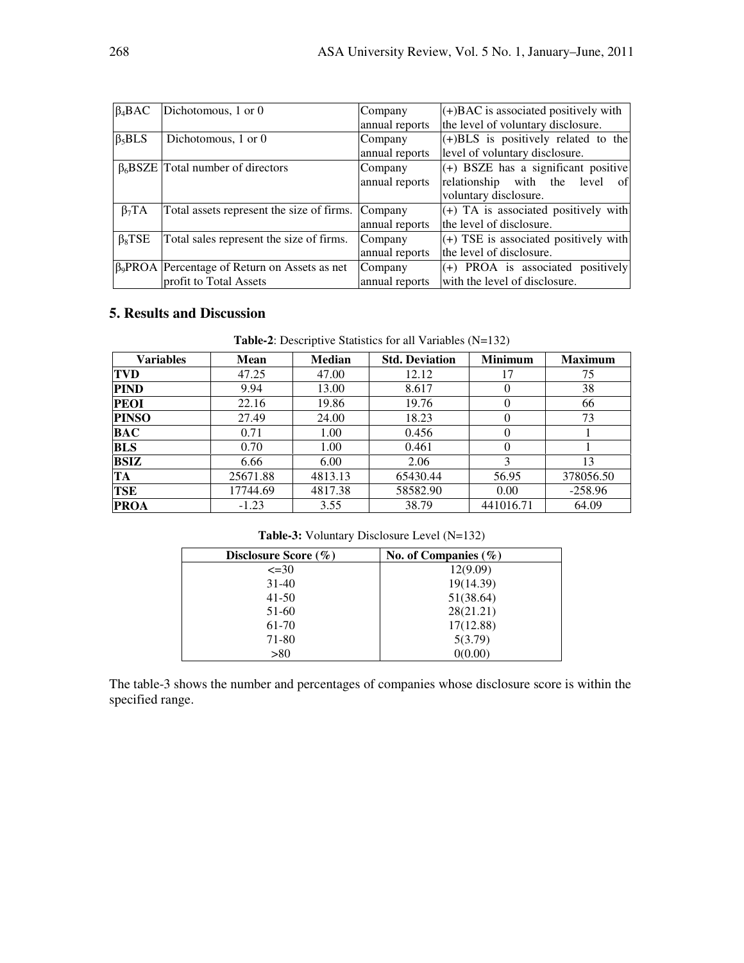| $\beta_4 BAC$ | Dichotomous, 1 or 0                                  | Company        | $(+)$ BAC is associated positively with |
|---------------|------------------------------------------------------|----------------|-----------------------------------------|
|               |                                                      | annual reports | the level of voluntary disclosure.      |
| $\beta_5 BLS$ | Dichotomous, 1 or 0                                  | Company        | $(+)$ BLS is positively related to the  |
|               |                                                      | annual reports | level of voluntary disclosure.          |
|               | $\beta_6$ BSZE Total number of directors             | Company        | $(+)$ BSZE has a significant positive   |
|               |                                                      | annual reports | relationship<br>with the level<br>ofl   |
|               |                                                      |                | voluntary disclosure.                   |
| $\beta_7 TA$  | Total assets represent the size of firms.            | Company        | $(+)$ TA is associated positively with  |
|               |                                                      | annual reports | the level of disclosure.                |
| $\beta_8$ TSE | Total sales represent the size of firms.             | Company        | $(+)$ TSE is associated positively with |
|               |                                                      | annual reports | the level of disclosure.                |
|               | $\beta_9$ PROA Percentage of Return on Assets as net | Company        | (+) PROA is associated positively       |
|               | profit to Total Assets                               | annual reports | with the level of disclosure.           |

## **5. Results and Discussion**

| Variables    | <b>Mean</b> | <b>Median</b> | <b>Std. Deviation</b> | <b>Minimum</b> | <b>Maximum</b> |
|--------------|-------------|---------------|-----------------------|----------------|----------------|
| <b>TVD</b>   | 47.25       | 47.00         | 12.12                 | 17             | 75             |
| <b>PIND</b>  | 9.94        | 13.00         | 8.617                 | $\theta$       | 38             |
| <b>PEOI</b>  | 22.16       | 19.86         | 19.76                 |                | 66             |
| <b>PINSO</b> | 27.49       | 24.00         | 18.23                 |                | 73             |
| BAC          | 0.71        | 1.00          | 0.456                 | $\theta$       |                |
| <b>BLS</b>   | 0.70        | 1.00          | 0.461                 |                |                |
| BSIZ         | 6.66        | 6.00          | 2.06                  | 3              | 13             |
| TA           | 25671.88    | 4813.13       | 65430.44              | 56.95          | 378056.50      |
| TSE          | 17744.69    | 4817.38       | 58582.90              | 0.00           | $-258.96$      |
| <b>PROA</b>  | $-1.23$     | 3.55          | 38.79                 | 441016.71      | 64.09          |

**Table-2**: Descriptive Statistics for all Variables (N=132)

**Table-3:** Voluntary Disclosure Level (N=132)

| Disclosure Score $(\% )$ | No. of Companies $(\% )$ |
|--------------------------|--------------------------|
| $\leq 30$                | 12(9.09)                 |
| $31-40$                  | 19(14.39)                |
| $41 - 50$                | 51(38.64)                |
| 51-60                    | 28(21.21)                |
| 61-70                    | 17(12.88)                |
| 71-80                    | 5(3.79)                  |
| >80                      | 0(0.00)                  |

The table-3 shows the number and percentages of companies whose disclosure score is within the specified range.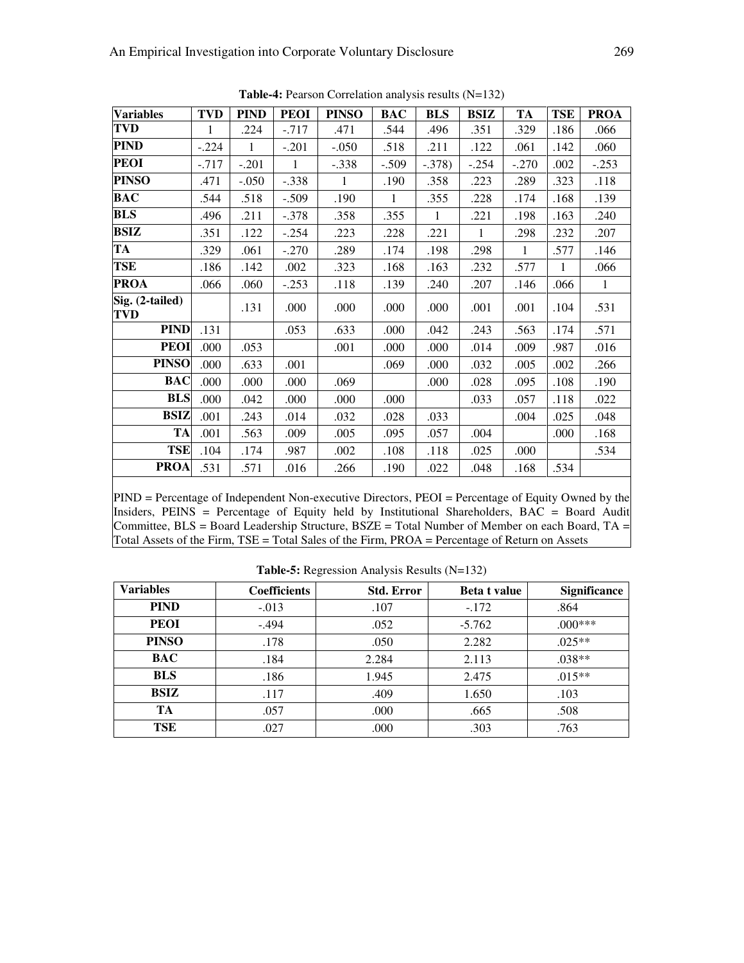| <b>1.</b> I can both content to the position of the second of the second of the second of the second of the second of the second of the second of the second of the second of the second of the second of the second of the second |         |              |              |              |            |              |              |              |              |              |
|------------------------------------------------------------------------------------------------------------------------------------------------------------------------------------------------------------------------------------|---------|--------------|--------------|--------------|------------|--------------|--------------|--------------|--------------|--------------|
| <b>Variables</b>                                                                                                                                                                                                                   | TVD     | <b>PIND</b>  | <b>PEOI</b>  | <b>PINSO</b> | <b>BAC</b> | <b>BLS</b>   | <b>BSIZ</b>  | TA           | <b>TSE</b>   | <b>PROA</b>  |
| <b>TVD</b>                                                                                                                                                                                                                         | 1       | .224         | $-0.717$     | .471         | .544       | .496         | .351         | .329         | .186         | .066         |
| <b>PIND</b>                                                                                                                                                                                                                        | $-.224$ | $\mathbf{1}$ | $-.201$      | $-.050$      | .518       | .211         | .122         | .061         | .142         | .060         |
| <b>PEOI</b>                                                                                                                                                                                                                        | -.717   | $-.201$      | $\mathbf{1}$ | $-.338$      | $-.509$    | $-.378)$     | $-.254$      | $-.270$      | .002         | $-.253$      |
| <b>PINSO</b>                                                                                                                                                                                                                       | .471    | $-.050$      | $-.338$      | $\mathbf{1}$ | .190       | .358         | .223         | .289         | .323         | .118         |
| <b>BAC</b>                                                                                                                                                                                                                         | .544    | .518         | $-.509$      | .190         | 1          | .355         | .228         | .174         | .168         | .139         |
| <b>BLS</b>                                                                                                                                                                                                                         | .496    | .211         | $-.378$      | .358         | .355       | $\mathbf{1}$ | .221         | .198         | .163         | .240         |
| <b>BSIZ</b>                                                                                                                                                                                                                        | .351    | .122         | $-.254$      | .223         | .228       | .221         | $\mathbf{1}$ | .298         | .232         | .207         |
| TA                                                                                                                                                                                                                                 | .329    | .061         | $-.270$      | .289         | .174       | .198         | .298         | $\mathbf{1}$ | .577         | .146         |
| <b>TSE</b>                                                                                                                                                                                                                         | .186    | .142         | .002         | .323         | .168       | .163         | .232         | .577         | $\mathbf{1}$ | .066         |
| <b>PROA</b>                                                                                                                                                                                                                        | .066    | .060         | $-.253$      | .118         | .139       | .240         | .207         | .146         | .066         | $\mathbf{1}$ |
| Sig. (2-tailed)<br>TVD                                                                                                                                                                                                             |         | .131         | .000         | .000         | .000       | .000         | .001         | .001         | .104         | .531         |
| <b>PIND</b>                                                                                                                                                                                                                        | .131    |              | .053         | .633         | .000       | .042         | .243         | .563         | .174         | .571         |
| <b>PEOI</b>                                                                                                                                                                                                                        | .000    | .053         |              | .001         | .000       | .000         | .014         | .009         | .987         | .016         |
| <b>PINSO</b>                                                                                                                                                                                                                       | .000    | .633         | .001         |              | .069       | .000         | .032         | .005         | .002         | .266         |
| <b>BAC</b>                                                                                                                                                                                                                         | .000    | .000         | .000         | .069         |            | .000         | .028         | .095         | .108         | .190         |
| <b>BLS</b>                                                                                                                                                                                                                         | .000    | .042         | .000         | .000         | .000       |              | .033         | .057         | .118         | .022         |
| <b>BSIZ</b>                                                                                                                                                                                                                        | .001    | .243         | .014         | .032         | .028       | .033         |              | .004         | .025         | .048         |
| <b>TA</b>                                                                                                                                                                                                                          | .001    | .563         | .009         | .005         | .095       | .057         | .004         |              | .000         | .168         |
| <b>TSE</b>                                                                                                                                                                                                                         | .104    | .174         | .987         | .002         | .108       | .118         | .025         | .000         |              | .534         |
| <b>PROA</b>                                                                                                                                                                                                                        | .531    | .571         | .016         | .266         | .190       | .022         | .048         | .168         | .534         |              |

**Table-4:** Pearson Correlation analysis results (N=132)

PIND = Percentage of Independent Non-executive Directors, PEOI = Percentage of Equity Owned by the Insiders, PEINS = Percentage of Equity held by Institutional Shareholders, BAC = Board Audit Committee, BLS = Board Leadership Structure, BSZE = Total Number of Member on each Board, TA = Total Assets of the Firm, TSE = Total Sales of the Firm, PROA = Percentage of Return on Assets

| <b>Variables</b> | <b>Coefficients</b> | <b>Std. Error</b> | <b>Beta t value</b> | <b>Significance</b> |
|------------------|---------------------|-------------------|---------------------|---------------------|
| <b>PIND</b>      | $-.013$             | .107              | $-.172$             | .864                |
| <b>PEOI</b>      | $-.494$             | .052              | $-5.762$            | $.000***$           |
| <b>PINSO</b>     | .178                | .050              | 2.282               | $.025**$            |
| <b>BAC</b>       | .184                | 2.284             | 2.113               | $.038**$            |
| <b>BLS</b>       | .186                | 1.945             | 2.475               | $.015**$            |
| <b>BSIZ</b>      | .117                | .409              | 1.650               | .103                |
| TA               | .057                | .000              | .665                | .508                |
| TSE              | .027                | .000              | .303                | .763                |

**Table-5:** Regression Analysis Results (N=132)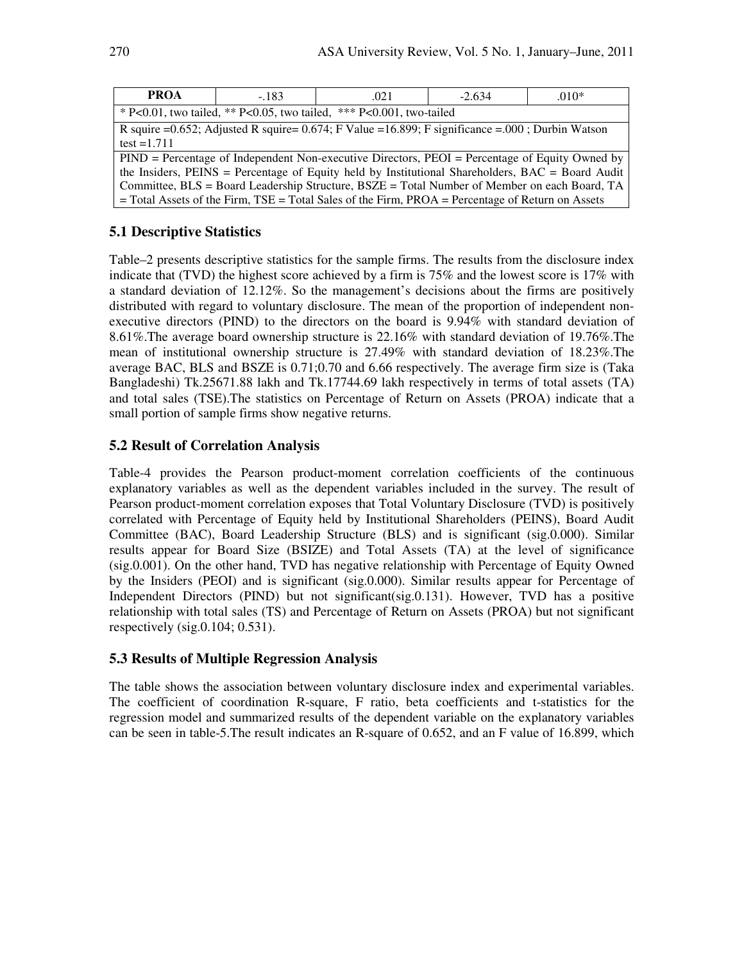| <b>PROA</b>                                                                                            | $-183$                                                                                             | .021 | $-2.634$ | $.010*$ |  |  |
|--------------------------------------------------------------------------------------------------------|----------------------------------------------------------------------------------------------------|------|----------|---------|--|--|
|                                                                                                        | * P<0.01, two tailed, ** P<0.05, two tailed, *** P<0.001, two-tailed                               |      |          |         |  |  |
|                                                                                                        | R squire =0.652; Adjusted R squire= $0.674$ ; F Value =16.899; F significance =.000; Durbin Watson |      |          |         |  |  |
|                                                                                                        | test = $1.711$                                                                                     |      |          |         |  |  |
| $PIND$ = Percentage of Independent Non-executive Directors, $PEOI$ = Percentage of Equity Owned by     |                                                                                                    |      |          |         |  |  |
| the Insiders, PEINS = Percentage of Equity held by Institutional Shareholders, BAC = Board Audit       |                                                                                                    |      |          |         |  |  |
| Committee, BLS = Board Leadership Structure, BSZE = Total Number of Member on each Board, TA           |                                                                                                    |      |          |         |  |  |
| $=$ Total Assets of the Firm, TSE $=$ Total Sales of the Firm, PROA $=$ Percentage of Return on Assets |                                                                                                    |      |          |         |  |  |

#### **5.1 Descriptive Statistics**

Table–2 presents descriptive statistics for the sample firms. The results from the disclosure index indicate that (TVD) the highest score achieved by a firm is 75% and the lowest score is 17% with a standard deviation of 12.12%. So the management's decisions about the firms are positively distributed with regard to voluntary disclosure. The mean of the proportion of independent nonexecutive directors (PIND) to the directors on the board is 9.94% with standard deviation of 8.61%.The average board ownership structure is 22.16% with standard deviation of 19.76%.The mean of institutional ownership structure is 27.49% with standard deviation of 18.23%.The average BAC, BLS and BSZE is 0.71;0.70 and 6.66 respectively. The average firm size is (Taka Bangladeshi) Tk.25671.88 lakh and Tk.17744.69 lakh respectively in terms of total assets (TA) and total sales (TSE).The statistics on Percentage of Return on Assets (PROA) indicate that a small portion of sample firms show negative returns.

#### **5.2 Result of Correlation Analysis**

Table-4 provides the Pearson product-moment correlation coefficients of the continuous explanatory variables as well as the dependent variables included in the survey. The result of Pearson product-moment correlation exposes that Total Voluntary Disclosure (TVD) is positively correlated with Percentage of Equity held by Institutional Shareholders (PEINS), Board Audit Committee (BAC), Board Leadership Structure (BLS) and is significant (sig.0.000). Similar results appear for Board Size (BSIZE) and Total Assets (TA) at the level of significance (sig.0.001). On the other hand, TVD has negative relationship with Percentage of Equity Owned by the Insiders (PEOI) and is significant (sig.0.000). Similar results appear for Percentage of Independent Directors (PIND) but not significant(sig.0.131). However, TVD has a positive relationship with total sales (TS) and Percentage of Return on Assets (PROA) but not significant respectively (sig.0.104; 0.531).

#### **5.3 Results of Multiple Regression Analysis**

The table shows the association between voluntary disclosure index and experimental variables. The coefficient of coordination R-square, F ratio, beta coefficients and t-statistics for the regression model and summarized results of the dependent variable on the explanatory variables can be seen in table-5.The result indicates an R-square of 0.652, and an F value of 16.899, which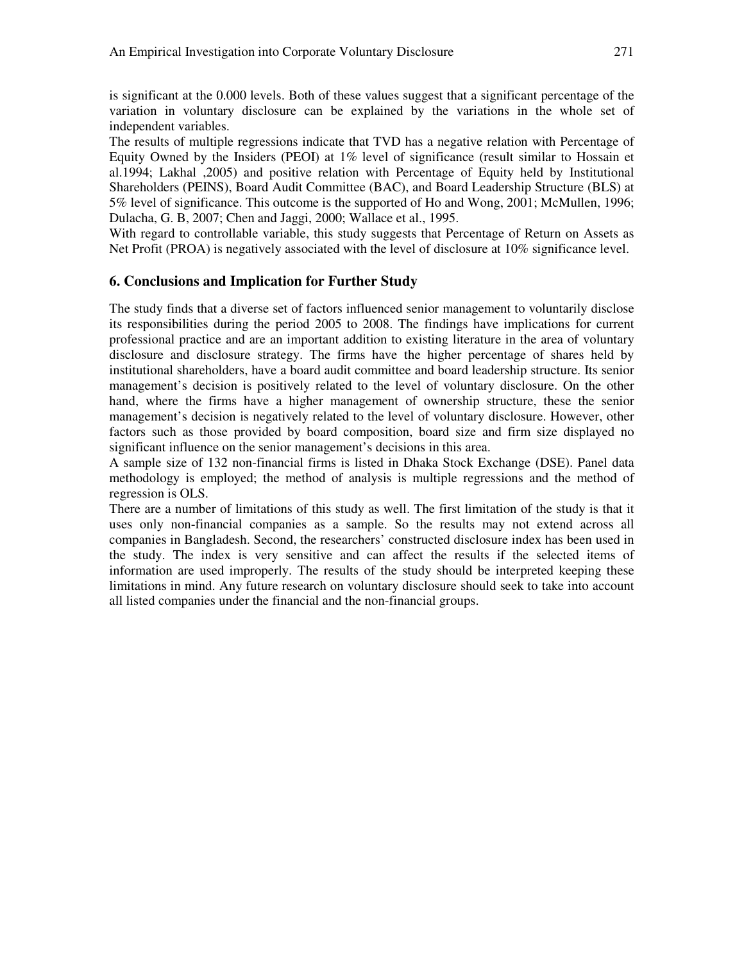is significant at the 0.000 levels. Both of these values suggest that a significant percentage of the variation in voluntary disclosure can be explained by the variations in the whole set of independent variables.

The results of multiple regressions indicate that TVD has a negative relation with Percentage of Equity Owned by the Insiders (PEOI) at 1% level of significance (result similar to Hossain et al.1994; Lakhal ,2005) and positive relation with Percentage of Equity held by Institutional Shareholders (PEINS), Board Audit Committee (BAC), and Board Leadership Structure (BLS) at 5% level of significance. This outcome is the supported of Ho and Wong, 2001; McMullen, 1996; Dulacha, G. B, 2007; Chen and Jaggi, 2000; Wallace et al., 1995.

With regard to controllable variable, this study suggests that Percentage of Return on Assets as Net Profit (PROA) is negatively associated with the level of disclosure at 10% significance level.

#### **6. Conclusions and Implication for Further Study**

The study finds that a diverse set of factors influenced senior management to voluntarily disclose its responsibilities during the period 2005 to 2008. The findings have implications for current professional practice and are an important addition to existing literature in the area of voluntary disclosure and disclosure strategy. The firms have the higher percentage of shares held by institutional shareholders, have a board audit committee and board leadership structure. Its senior management's decision is positively related to the level of voluntary disclosure. On the other hand, where the firms have a higher management of ownership structure, these the senior management's decision is negatively related to the level of voluntary disclosure. However, other factors such as those provided by board composition, board size and firm size displayed no significant influence on the senior management's decisions in this area.

A sample size of 132 non-financial firms is listed in Dhaka Stock Exchange (DSE). Panel data methodology is employed; the method of analysis is multiple regressions and the method of regression is OLS.

There are a number of limitations of this study as well. The first limitation of the study is that it uses only non-financial companies as a sample. So the results may not extend across all companies in Bangladesh. Second, the researchers' constructed disclosure index has been used in the study. The index is very sensitive and can affect the results if the selected items of information are used improperly. The results of the study should be interpreted keeping these limitations in mind. Any future research on voluntary disclosure should seek to take into account all listed companies under the financial and the non-financial groups.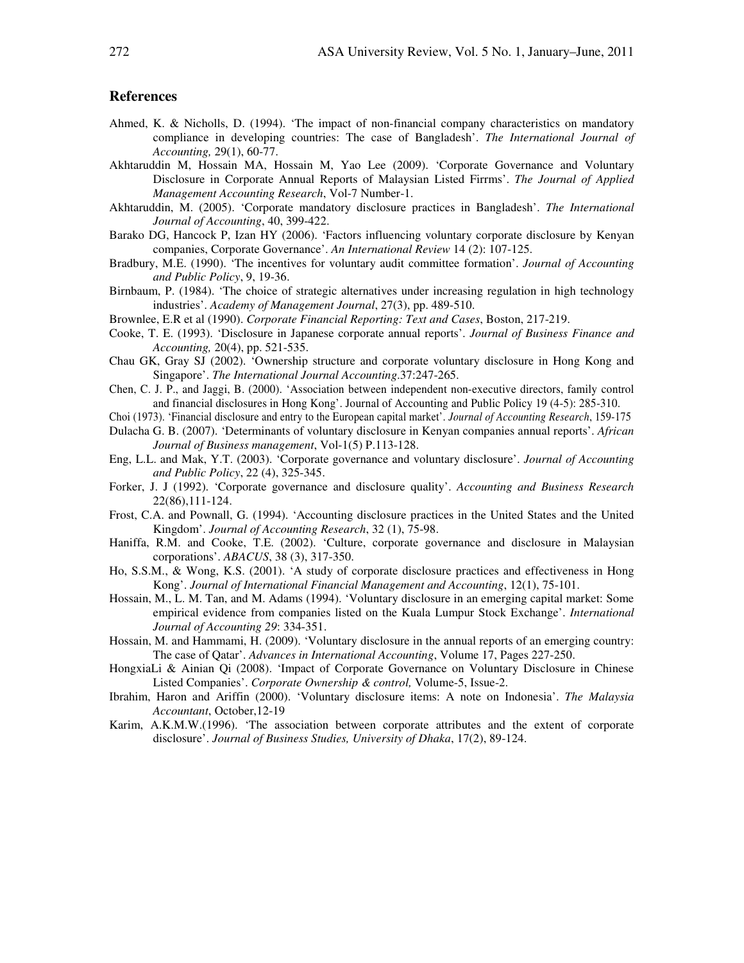#### **References**

- Ahmed, K. & Nicholls, D. (1994). 'The impact of non-financial company characteristics on mandatory compliance in developing countries: The case of Bangladesh'. *The International Journal of Accounting,* 29(1), 60-77.
- Akhtaruddin M, Hossain MA, Hossain M, Yao Lee (2009). 'Corporate Governance and Voluntary Disclosure in Corporate Annual Reports of Malaysian Listed Firrms'. *The Journal of Applied Management Accounting Research*, Vol-7 Number-1.
- Akhtaruddin, M. (2005). 'Corporate mandatory disclosure practices in Bangladesh'. *The International Journal of Accounting*, 40, 399-422.
- Barako DG, Hancock P, Izan HY (2006). 'Factors influencing voluntary corporate disclosure by Kenyan companies, Corporate Governance'. *An International Review* 14 (2): 107-125.
- Bradbury, M.E. (1990). 'The incentives for voluntary audit committee formation'. *Journal of Accounting and Public Policy*, 9, 19-36.
- Birnbaum, P. (1984). 'The choice of strategic alternatives under increasing regulation in high technology industries'. *Academy of Management Journal*, 27(3), pp. 489-510.
- Brownlee, E.R et al (1990). *Corporate Financial Reporting: Text and Cases*, Boston, 217-219.
- Cooke, T. E. (1993). 'Disclosure in Japanese corporate annual reports'. *Journal of Business Finance and Accounting,* 20(4), pp. 521-535.
- Chau GK, Gray SJ (2002). 'Ownership structure and corporate voluntary disclosure in Hong Kong and Singapore'. *The International Journal Accounting*.37:247-265.
- Chen, C. J. P., and Jaggi, B. (2000). 'Association between independent non-executive directors, family control and financial disclosures in Hong Kong'. Journal of Accounting and Public Policy 19 (4-5): 285-310.
- Choi (1973). 'Financial disclosure and entry to the European capital market'. *Journal of Accounting Research*, 159-175
- Dulacha G. B. (2007). 'Determinants of voluntary disclosure in Kenyan companies annual reports'. *African Journal of Business management*, Vol-1(5) P.113-128.
- Eng, L.L. and Mak, Y.T. (2003). 'Corporate governance and voluntary disclosure'. *Journal of Accounting and Public Policy*, 22 (4), 325-345.
- Forker, J. J (1992). 'Corporate governance and disclosure quality'. *Accounting and Business Research* 22(86),111-124.
- Frost, C.A. and Pownall, G. (1994). 'Accounting disclosure practices in the United States and the United Kingdom'. *Journal of Accounting Research*, 32 (1), 75-98.
- Haniffa, R.M. and Cooke, T.E. (2002). 'Culture, corporate governance and disclosure in Malaysian corporations'. *ABACUS*, 38 (3), 317-350.
- Ho, S.S.M., & Wong, K.S. (2001). 'A study of corporate disclosure practices and effectiveness in Hong Kong'. *Journal of International Financial Management and Accounting*, 12(1), 75-101.
- Hossain, M., L. M. Tan, and M. Adams (1994). 'Voluntary disclosure in an emerging capital market: Some empirical evidence from companies listed on the Kuala Lumpur Stock Exchange'. *International Journal of Accounting 29*: 334-351.
- Hossain, M. and Hammami, H. (2009). 'Voluntary disclosure in the annual reports of an emerging country: The case of Qatar'. *Advances in International Accounting*, Volume 17, Pages 227-250.
- HongxiaLi & Ainian Qi (2008). 'Impact of Corporate Governance on Voluntary Disclosure in Chinese Listed Companies'. *Corporate Ownership & control,* Volume-5, Issue-2.
- Ibrahim, Haron and Ariffin (2000). 'Voluntary disclosure items: A note on Indonesia'. *The Malaysia Accountant*, October,12-19
- Karim, A.K.M.W.(1996). 'The association between corporate attributes and the extent of corporate disclosure'. *Journal of Business Studies, University of Dhaka*, 17(2), 89-124.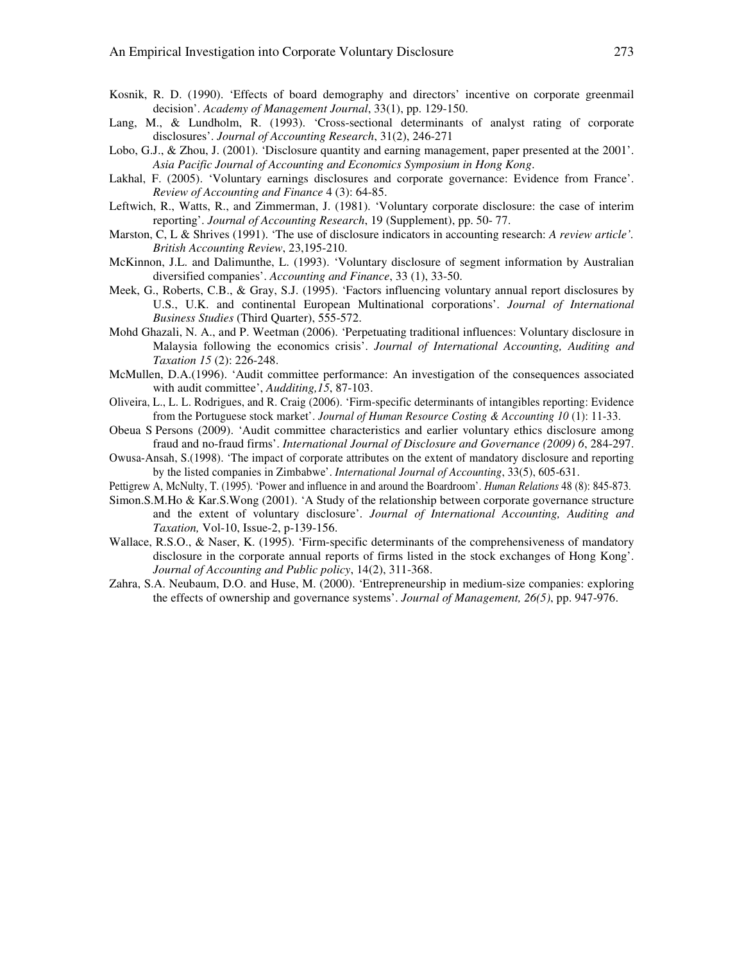- Kosnik, R. D. (1990). 'Effects of board demography and directors' incentive on corporate greenmail decision'. *Academy of Management Journal*, 33(1), pp. 129-150.
- Lang, M., & Lundholm, R. (1993). 'Cross-sectional determinants of analyst rating of corporate disclosures'. *Journal of Accounting Research*, 31(2), 246-271
- Lobo, G.J., & Zhou, J. (2001). 'Disclosure quantity and earning management, paper presented at the 2001'. *Asia Pacific Journal of Accounting and Economics Symposium in Hong Kong*.
- Lakhal, F. (2005). 'Voluntary earnings disclosures and corporate governance: Evidence from France'. *Review of Accounting and Finance* 4 (3): 64-85.
- Leftwich, R., Watts, R., and Zimmerman, J. (1981). 'Voluntary corporate disclosure: the case of interim reporting'. *Journal of Accounting Research*, 19 (Supplement), pp. 50- 77.
- Marston, C, L & Shrives (1991). 'The use of disclosure indicators in accounting research: *A review article'. British Accounting Review*, 23,195-210.
- McKinnon, J.L. and Dalimunthe, L. (1993). 'Voluntary disclosure of segment information by Australian diversified companies'. *Accounting and Finance*, 33 (1), 33-50.
- Meek, G., Roberts, C.B., & Gray, S.J. (1995). 'Factors influencing voluntary annual report disclosures by U.S., U.K. and continental European Multinational corporations'. *Journal of International Business Studies* (Third Quarter), 555-572.
- Mohd Ghazali, N. A., and P. Weetman (2006). 'Perpetuating traditional influences: Voluntary disclosure in Malaysia following the economics crisis'. *Journal of International Accounting, Auditing and Taxation 15* (2): 226-248.
- McMullen, D.A.(1996). 'Audit committee performance: An investigation of the consequences associated with audit committee', *Audditing,15*, 87-103.
- Oliveira, L., L. L. Rodrigues, and R. Craig (2006). 'Firm-specific determinants of intangibles reporting: Evidence from the Portuguese stock market'. *Journal of Human Resource Costing & Accounting 10* (1): 11-33.
- Obeua S Persons (2009). 'Audit committee characteristics and earlier voluntary ethics disclosure among fraud and no-fraud firms'. *International Journal of Disclosure and Governance (2009) 6*, 284-297.
- Owusa-Ansah, S.(1998). 'The impact of corporate attributes on the extent of mandatory disclosure and reporting by the listed companies in Zimbabwe'. *International Journal of Accounting*, 33(5), 605-631.
- Pettigrew A, McNulty, T. (1995). 'Power and influence in and around the Boardroom'. *Human Relations* 48 (8): 845-873.
- Simon.S.M.Ho & Kar.S.Wong (2001). 'A Study of the relationship between corporate governance structure and the extent of voluntary disclosure'. *Journal of International Accounting, Auditing and Taxation,* Vol-10, Issue-2, p-139-156.
- Wallace, R.S.O., & Naser, K. (1995). 'Firm-specific determinants of the comprehensiveness of mandatory disclosure in the corporate annual reports of firms listed in the stock exchanges of Hong Kong'. *Journal of Accounting and Public policy*, 14(2), 311-368.
- Zahra, S.A. Neubaum, D.O. and Huse, M. (2000). 'Entrepreneurship in medium-size companies: exploring the effects of ownership and governance systems'. *Journal of Management, 26(5)*, pp. 947-976.